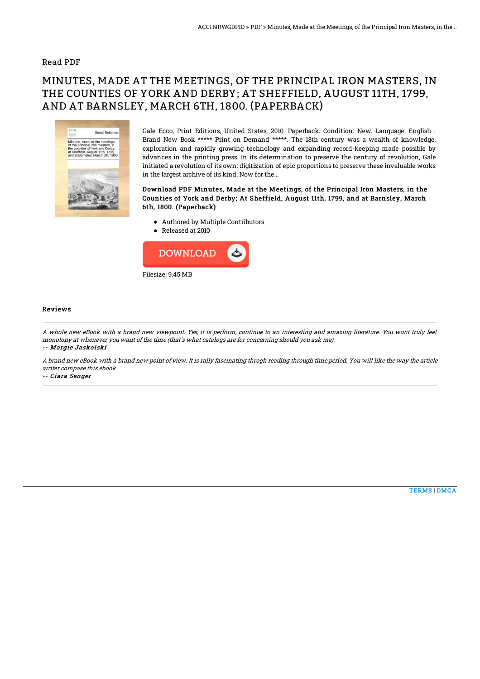### Read PDF

# MINUTES, MADE AT THE MEETINGS, OF THE PRINCIPAL IRON MASTERS, IN THE COUNTIES OF YORK AND DERBY; AT SHEFFIELD, AUGUST 11TH, 1799, AND AT BARNSLEY, MARCH 6TH, 1800. (PAPERBACK)



Gale Ecco, Print Editions, United States, 2010. Paperback. Condition: New. Language: English . Brand New Book \*\*\*\*\* Print on Demand \*\*\*\*\*. The 18th century was a wealth of knowledge, exploration and rapidly growing technology and expanding record-keeping made possible by advances in the printing press. In its determination to preserve the century of revolution, Gale initiated a revolution of its own: digitization of epic proportions to preserve these invaluable works in the largest archive of its kind. Now for the...

### Download PDF Minutes, Made at the Meetings, of the Principal Iron Masters, in the Counties of York and Derby; At Sheffield, August 11th, 1799, and at Barnsley, March 6th, 1800. (Paperback)

- Authored by Multiple Contributors
- Released at 2010



#### Reviews

A whole new eBook with <sup>a</sup> brand new viewpoint. Yes, it is perform, continue to an interesting and amazing literature. You wont truly feel monotony at whenever you want of the time (that's what catalogs are for concerning should you ask me). -- Margie Jaskolski

A brand new eBook with <sup>a</sup> brand new point of view. It is rally fascinating throgh reading through time period. You will like the way the article writer compose this ebook.

-- Ciara Senger